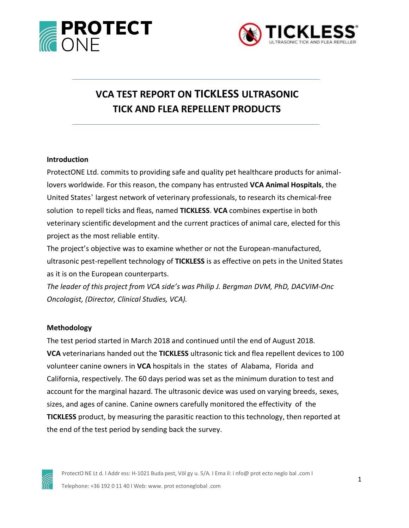



# **VCA TEST REPORT ON TICKLESS ULTRASONIC TICK AND FLEA REPELLENT PRODUCTS**

#### **Introduction**

ProtectONE Ltd. commits to providing safe and quality pet healthcare products for animallovers worldwide. For this reason, the company has entrusted **VCA Animal Hospitals**, the United States' largest network of veterinary professionals, to research its chemical-free solution to repell ticks and fleas, named **TICKLESS**. **VCA** combines expertise in both veterinary scientific development and the current practices of animal care, elected for this project as the most reliable entity.

The project's objective was to examine whether or not the European-manufactured, ultrasonic pest-repellent technology of **TICKLESS** is as effective on pets in the United States as it is on the European counterparts.

*The leader of this project from VCA side's was Philip J. Bergman DVM, PhD, DACVIM-Onc Oncologist, (Director, Clinical Studies, VCA).*

#### **Methodology**

The test period started in March 2018 and continued until the end of August 2018. **VCA** veterinarians handed out the **TICKLESS** ultrasonic tick and flea repellent devices to 100 volunteer canine owners in **VCA** hospitals in the states of Alabama, Florida and California, respectively. The 60 days period was set as the minimum duration to test and account for the marginal hazard. The ultrasonic device was used on varying breeds, sexes, sizes, and ages of canine. Canine owners carefully monitored the effectivity of the **TICKLESS** product, by measuring the parasitic reaction to this technology, then reported at the end of the test period by sending back the survey.



ProtectO NE Lt d. I Addr ess: H-1021 Buda pest, Völ gy u. 5/A. I Ema il: [i nfo@ prot ecto neglo bal .com](mailto:info@protectoneglobal.com) I Telephone: +36 192 0 11 40 I Web[: www. prot ectoneglobal .com](http://www.protectoneglobal.com/)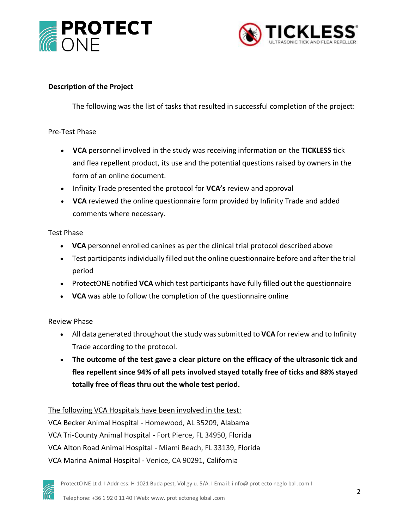



### **Description of the Project**

The following was the list of tasks that resulted in successful completion of the project:

#### Pre-Test Phase

- **VCA** personnel involved in the study was receiving information on the **TICKLESS** tick and flea repellent product, its use and the potential questions raised by owners in the form of an online document.
- Infinity Trade presented the protocol for **VCA's** review and approval
- **VCA** reviewed the online questionnaire form provided by Infinity Trade and added comments where necessary.

#### Test Phase

- **VCA** personnel enrolled canines as per the clinical trial protocol described above
- Test participants individually filled out the online questionnaire before and after the trial period
- ProtectONE notified **VCA** which test participants have fully filled out the questionnaire
- **VCA** was able to follow the completion of the questionnaire online

# Review Phase

- All data generated throughout the study wassubmitted to **VCA** for review and to Infinity Trade according to the protocol.
- **The outcome of the test gave a clear picture on the efficacy of the ultrasonic tick and flea repellent since 94% of all pets involved stayed totally free of ticks and 88% stayed totally free of fleas thru out the whole test period.**

# The following VCA Hospitals have been involved in the test:

VCA Becker Animal Hospital - Homewood, AL 35209, Alabama VCA Tri-County Animal Hospital - Fort Pierce, FL 34950, Florida VCA Alton Road Animal Hospital - Miami Beach, FL 33139, Florida VCA Marina Animal Hospital - Venice, CA 90291, California

ProtectO NE Lt d. I Addr ess: H-1021 Buda pest, Völ gy u. 5/A. I Ema il: [i nfo@ prot ecto neglo bal .com](mailto:info@protectoneglobal.com) I